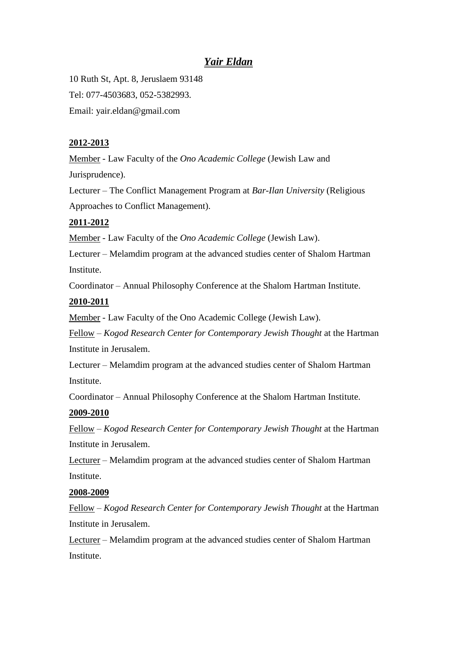# *Yair Eldan*

10 Ruth St, Apt. 8, Jeruslaem 93148 Tel: 077-4503683, 052-5382993. Email: yair.eldan@gmail.com

#### **2012-2013**

Member - Law Faculty of the *Ono Academic College* (Jewish Law and Jurisprudence).

Lecturer – The Conflict Management Program at *Bar-Ilan University* (Religious Approaches to Conflict Management).

#### **2011-2012**

Member - Law Faculty of the *Ono Academic College* (Jewish Law).

Lecturer – Melamdim program at the advanced studies center of Shalom Hartman **Institute.** 

Coordinator – Annual Philosophy Conference at the Shalom Hartman Institute.

#### **2010-2011**

Member - Law Faculty of the Ono Academic College (Jewish Law).

Fellow – *Kogod Research Center for Contemporary Jewish Thought* at the Hartman Institute in Jerusalem.

Lecturer – Melamdim program at the advanced studies center of Shalom Hartman Institute.

Coordinator – Annual Philosophy Conference at the Shalom Hartman Institute.

#### **2009-2010**

Fellow – *Kogod Research Center for Contemporary Jewish Thought* at the Hartman Institute in Jerusalem.

Lecturer – Melamdim program at the advanced studies center of Shalom Hartman **Institute.** 

#### **2008-2009**

Fellow – *Kogod Research Center for Contemporary Jewish Thought* at the Hartman Institute in Jerusalem.

Lecturer – Melamdim program at the advanced studies center of Shalom Hartman Institute.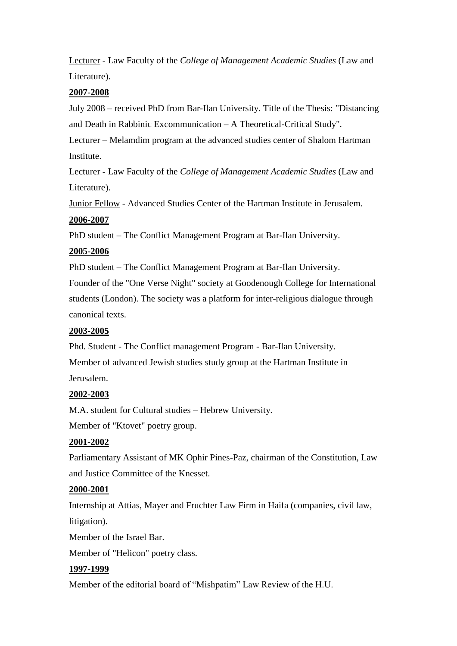Lecturer - Law Faculty of the *College of Management Academic Studies* (Law and Literature).

#### **2007-2008**

July 2008 – received PhD from Bar-Ilan University. Title of the Thesis: "Distancing and Death in Rabbinic Excommunication – A Theoretical-Critical Study".

Lecturer – Melamdim program at the advanced studies center of Shalom Hartman **Institute** 

Lecturer **-** Law Faculty of the *College of Management Academic Studies* (Law and Literature).

Junior Fellow - Advanced Studies Center of the Hartman Institute in Jerusalem.

#### **2006-2007**

PhD student – The Conflict Management Program at Bar-Ilan University.

#### **2005-2006**

PhD student – The Conflict Management Program at Bar-Ilan University.

Founder of the "One Verse Night" society at Goodenough College for International students (London). The society was a platform for inter-religious dialogue through canonical texts.

# **2003-2005**

Phd. Student - The Conflict management Program - Bar-Ilan University. Member of advanced Jewish studies study group at the Hartman Institute in Jerusalem.

# **2002-2003**

M.A. student for Cultural studies – Hebrew University.

Member of "Ktovet" poetry group.

# **2001-2002**

Parliamentary Assistant of MK Ophir Pines-Paz, chairman of the Constitution, Law and Justice Committee of the Knesset.

# **2000-2001**

Internship at Attias, Mayer and Fruchter Law Firm in Haifa (companies, civil law, litigation).

Member of the Israel Bar.

Member of "Helicon" poetry class.

# **1997-1999**

Member of the editorial board of "Mishpatim" Law Review of the H.U.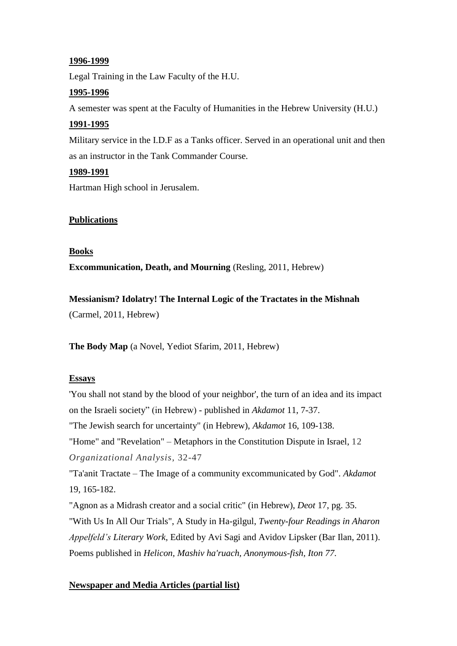#### **1996-1999**

Legal Training in the Law Faculty of the H.U.

# **1995-1996**

A semester was spent at the Faculty of Humanities in the Hebrew University (H.U.)

# **1991-1995**

Military service in the I.D.F as a Tanks officer. Served in an operational unit and then as an instructor in the Tank Commander Course.

# **1989-1991**

Hartman High school in Jerusalem.

# **Publications**

#### **Books**

**Excommunication, Death, and Mourning** (Resling, 2011, Hebrew)

# **Messianism? Idolatry! The Internal Logic of the Tractates in the Mishnah**

(Carmel, 2011, Hebrew)

**The Body Map** (a Novel, Yediot Sfarim, 2011, Hebrew)

# **Essays**

'You shall not stand by the blood of your neighbor', the turn of an idea and its impact on the Israeli society" (in Hebrew) - published in *Akdamot* 11, 7-37. "The Jewish search for uncertainty" (in Hebrew), *Akdamot* 16, 109-138. "Home" and "Revelation" – Metaphors in the Constitution Dispute in Israel, 12 *Organizational Analysis*, 32-47 "Ta'anit Tractate – The Image of a community excommunicated by God". *Akdamot* 19, 165-182. "Agnon as a Midrash creator and a social critic" (in Hebrew), *Deot* 17, pg. 35. "With Us In All Our Trials", A Study in Ha-gilgul, *Twenty-four Readings in Aharon Appelfeld's Literary Work,* Edited by Avi Sagi and Avidov Lipsker (Bar Ilan, 2011). Poems published in *Helicon, Mashiv ha'ruach, Anonymous-fish, Iton 77*.

# **Newspaper and Media Articles (partial list)**